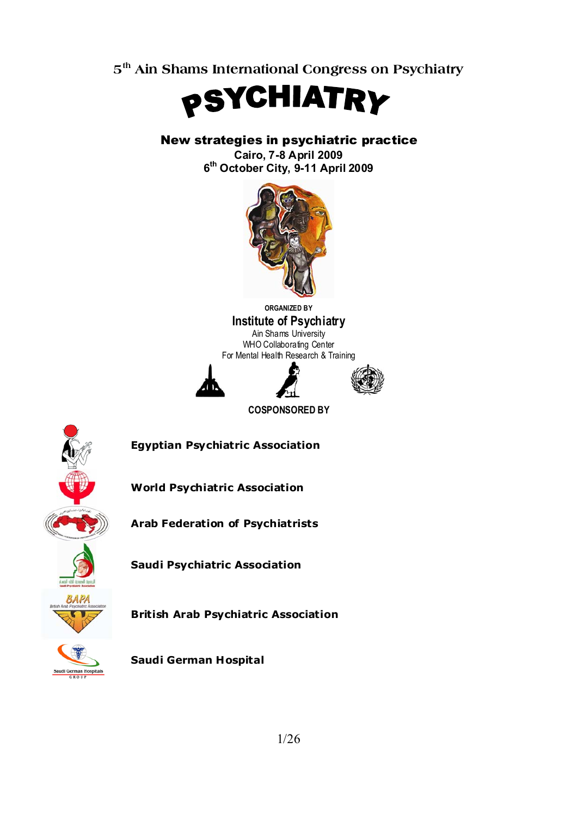**5th Ain Shams International Congress on Psychiatry** 



New strategies in psychiatric practice

**Cairo, 7-8 April 2009 6th October City, 9-11 April 2009** 



**ORGANIZED BY Institute of Psychiatry**  Ain Shams University WHO Collaborating Center For Mental Health Research & Training





**COSPONSORED BY** 



**Egyptian Psychiatric Association** 

**World Psychiatric Association** 

**Arab Federation of Psychiatrists** 

**Saudi Psychiatric Association** 



**British Arab Psychiatric Association** 



**Saudi German Hospital**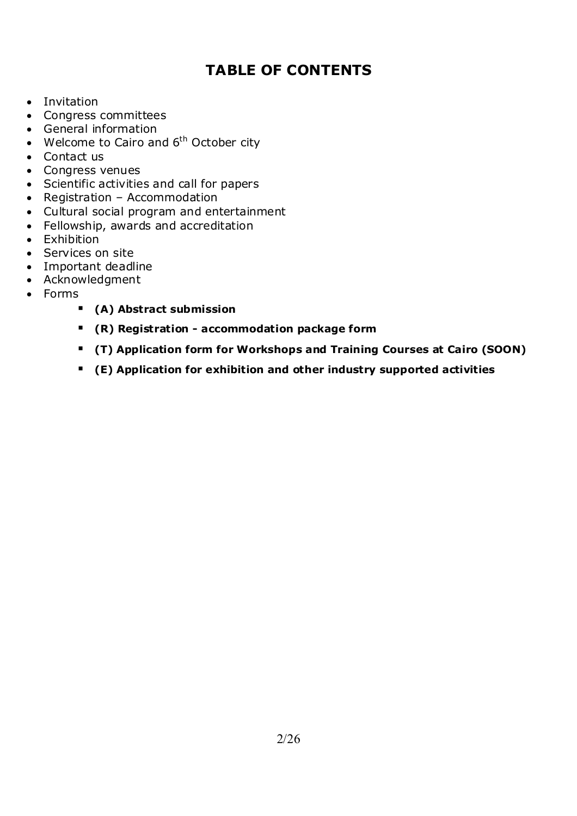### **TABLE OF CONTENTS**

- Invitation
- Congress committees
- General information
- Welcome to Cairo and  $6<sup>th</sup>$  October city
- Contact us
- Congress venues
- Scientific activities and call for papers
- Registration Accommodation
- Cultural social program and entertainment
- Fellowship, awards and accreditation
- Exhibition
- Services on site
- Important deadline
- Acknowledgment
- Forms
	- **(A) Abstract submission**
	- **(R) Registration accommodation package form**
	- **(T) Application form for Workshops and Training Courses at Cairo (SOON)**
	- **(E) Application for exhibition and other industry supported activities**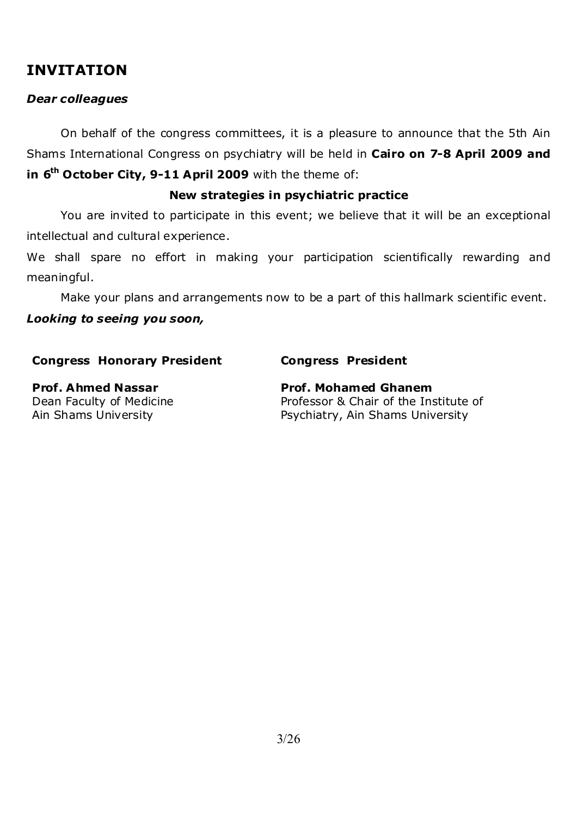### **INVITATION**

### *Dear colleagues*

 On behalf of the congress committees, it is a pleasure to announce that the 5th Ain Shams International Congress on psychiatry will be held in **Cairo on 7-8 April 2009 and in 6<sup>th</sup> October City, 9-11 April 2009** with the theme of:

### **New strategies in psychiatric practice**

 You are invited to participate in this event; we believe that it will be an exceptional intellectual and cultural experience.

We shall spare no effort in making your participation scientifically rewarding and meaningful.

 Make your plans and arrangements now to be a part of this hallmark scientific event. *Looking to seeing you soon,* 

### **Congress Honorary President Congress President**

Dean Faculty of Medicine Ain Shams University

**Prof. Ahmed Nassar Community Prof. Mohamed Ghanem** Professor & Chair of the Institute of Psychiatry, Ain Shams University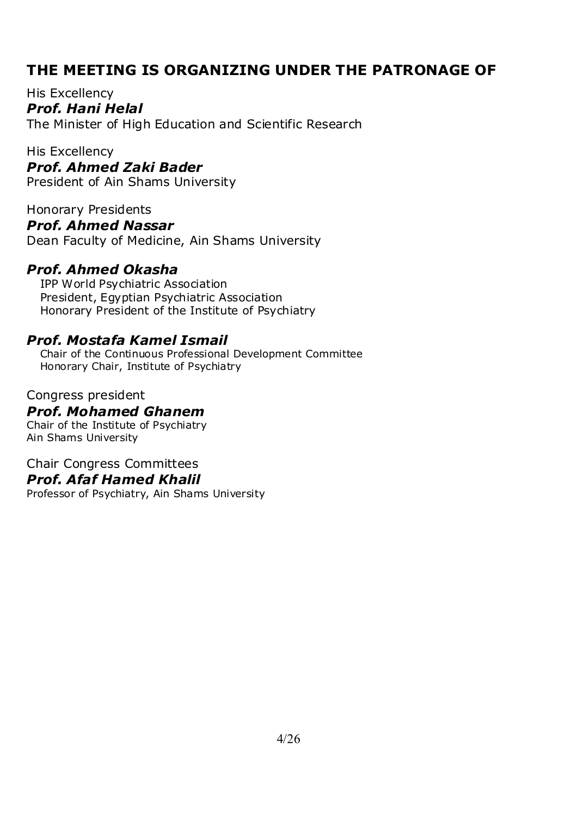### **THE MEETING IS ORGANIZING UNDER THE PATRONAGE OF**

His Excellency *Prof. Hani Helal*  The Minister of High Education and Scientific Research

His Excellency *Prof. Ahmed Zaki Bader*  President of Ain Shams University

Honorary Presidents *Prof. Ahmed Nassar*  Dean Faculty of Medicine, Ain Shams University

### *Prof. Ahmed Okasha*

IPP World Psychiatric Association President, Egyptian Psychiatric Association Honorary President of the Institute of Psychiatry

### *Prof. Mostafa Kamel Ismail*

Chair of the Continuous Professional Development Committee Honorary Chair, Institute of Psychiatry

### Congress president *Prof. Mohamed Ghanem*  Chair of the Institute of Psychiatry

Ain Shams University

### Chair Congress Committees

### *Prof. Afaf Hamed Khalil*

Professor of Psychiatry, Ain Shams University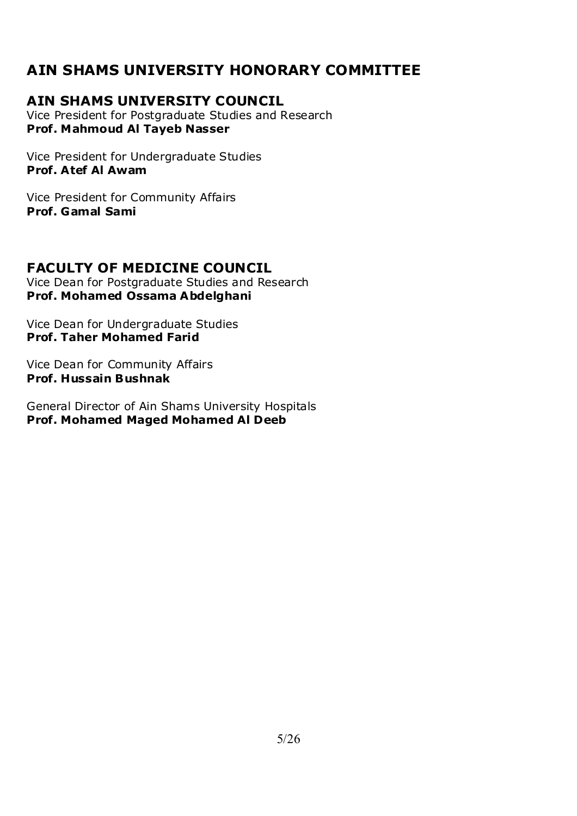### **AIN SHAMS UNIVERSITY HONORARY COMMITTEE**

### **AIN SHAMS UNIVERSITY COUNCIL**

Vice President for Postgraduate Studies and Research **Prof. Mahmoud Al Tayeb Nasser** 

Vice President for Undergraduate Studies **Prof. Atef Al Awam** 

Vice President for Community Affairs **Prof. Gamal Sami** 

### **FACULTY OF MEDICINE COUNCIL**

Vice Dean for Postgraduate Studies and Research **Prof. Mohamed Ossama Abdelghani** 

Vice Dean for Undergraduate Studies **Prof. Taher Mohamed Farid** 

Vice Dean for Community Affairs **Prof. Hussain Bushnak** 

General Director of Ain Shams University Hospitals **Prof. Mohamed Maged Mohamed Al Deeb**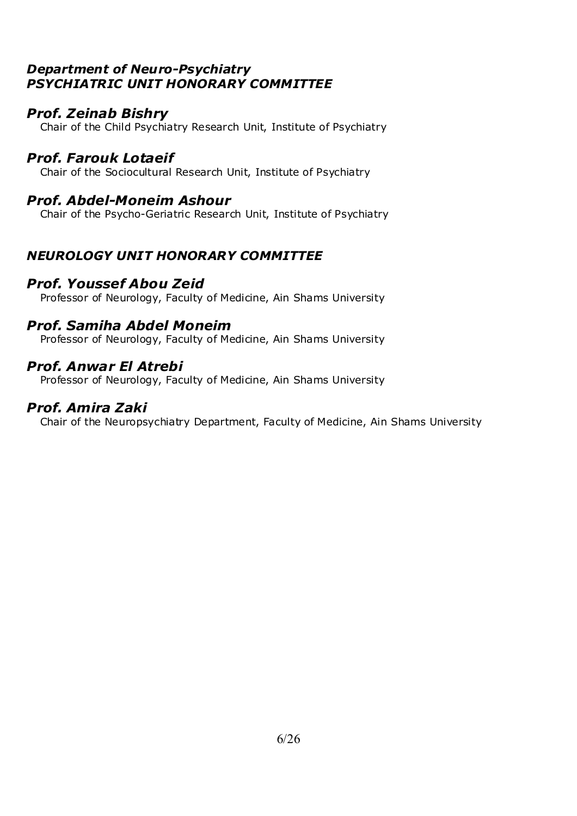### *Department of Neuro-Psychiatry PSYCHIATRIC UNIT HONORARY COMMITTEE*

### *Prof. Zeinab Bishry*

Chair of the Child Psychiatry Research Unit, Institute of Psychiatry

### *Prof. Farouk Lotaeif*

Chair of the Sociocultural Research Unit, Institute of Psychiatry

### *Prof. Abdel-Moneim Ashour*

Chair of the Psycho-Geriatric Research Unit, Institute of Psychiatry

### *NEUROLOGY UNIT HONORARY COMMITTEE*

### *Prof. Youssef Abou Zeid*

Professor of Neurology, Faculty of Medicine, Ain Shams University

### *Prof. Samiha Abdel Moneim*

Professor of Neurology, Faculty of Medicine, Ain Shams University

### *Prof. Anwar El Atrebi*

Professor of Neurology, Faculty of Medicine, Ain Shams University

### *Prof. Amira Zaki*

Chair of the Neuropsychiatry Department, Faculty of Medicine, Ain Shams University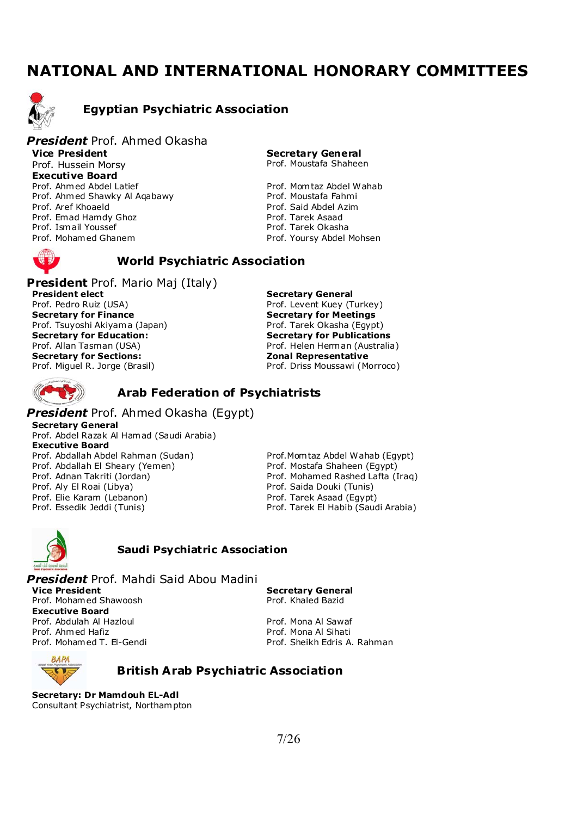### **NATIONAL AND INTERNATIONAL HONORARY COMMITTEES**



### **Egyptian Psychiatric Association**

#### *President* Prof. Ahmed Okasha **Vice President**  Prof. Hussein Morsy **Executive Board**  Prof. Ahmed Abdel Latief Prof. Mom taz Abdel Wahab Prof. Ahmed Shawky Al Aqabawy **Prof. Moustafa Fahmi** Prof. Aref Khoaeld **Prof. Said Abdel Azim**<br>Prof. Emad Hamdy Ghoz **Prof. Said Abdel Azim** Prof. Emad Hamdy Ghoz **Prof. Tarek Asaad**<br>Prof. Tamail Youssef Prof. Ismail Youssef

**Secretary General** Prof. Moustafa Shaheen

Prof. Mohamed Ghanem extending the Prof. Yoursy Abdel Mohsen



### **World Psychiatric Association**

**President** Prof. Mario Maj (Italy) **President elect**  Prof. Pedro Ruiz (USA) **Secretary for Finance**  Prof. Tsuyoshi Akiyama (Japan) **Secretary for Education:**  Prof. Allan Tasman (USA) **Secretary for Sections:**  Prof. Miguel R. Jorge (Brasil)

**Secretary General**  Prof. Levent Kuey (Turkey) **Secretary for Meetings**  Prof. Tarek Okasha (Egypt) **Secretary for Publications**  Prof. Helen Herman (Australia) **Zonal Representative**  Prof. Driss Moussawi (Morroco)

### **Arab Federation of Psychiatrists**

#### *President* Prof. Ahmed Okasha (Egypt)

**Secretary General** Prof. Abdel Razak Al Hamad (Saudi Arabia) **Executive Board**  Prof. Abdallah Abdel Rahman (Sudan) Prof.Mom taz Abdel Wahab (Egypt) Prof. Abdallah El Sheary (Yemen) Prof. Mostafa Shaheen (Egypt) Prof. Adnan Takriti (Jordan) Prof. Mohamed Rashed Lafta (Iraq) Prof. Aly El Roai (Libya) Prof. Saida Douki (Tunis) Prof. Elie Karam (Lebanon) entitled a prof. Tarek Asaad (Egypt) Prof. Essedik Jeddi (Tunis) Prof. Tarek El Habib (Saudi Arabia)



#### **Saudi Psychiatric Association**

*President* Prof. Mahdi Said Abou Madini **Vice President**  Prof. Mohamed Shawoosh **Executive Board**  Prof. Abdulah Al Hazloul **Prof. Mona Al Sawaf** Prof. Ahmed Hafiz **Prof. Mona Al Sihati**<br>Prof. Mohamed T. El-Gendi Prof. Sheikh Edris A.

**Secretary General**  Prof. Khaled Bazid

Prof. Sheikh Edris A. Rahman



#### **British Arab Psychiatric Association**

**Secretary: Dr Mamdouh EL-Adl**  Consultant Psychiatrist, Northampton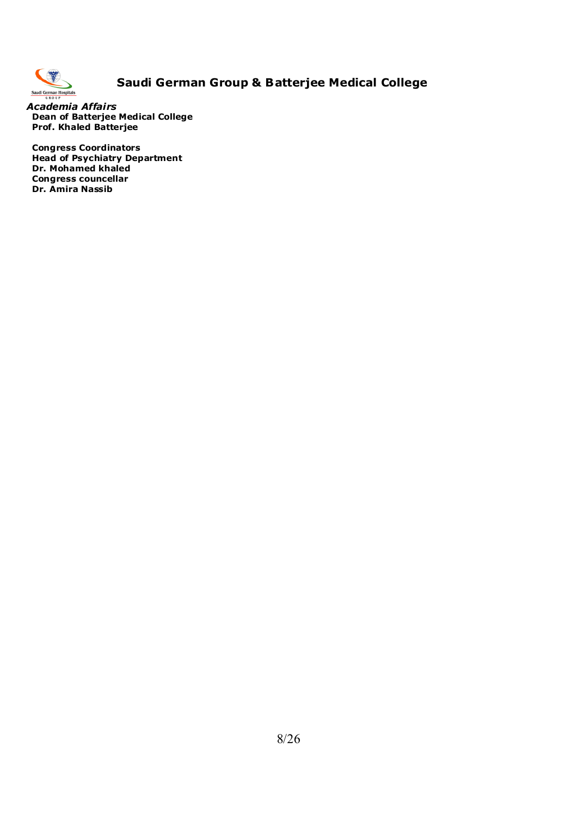

### **Saudi German Group & Batterjee Medical College**

*Academia Affairs* **Dean of Batterjee Medical College Prof. Khaled Batterjee** 

**Congress Coordinators Head of Psychiatry Department Dr. Mohamed khaled Congress councellar Dr. Amira Nassib**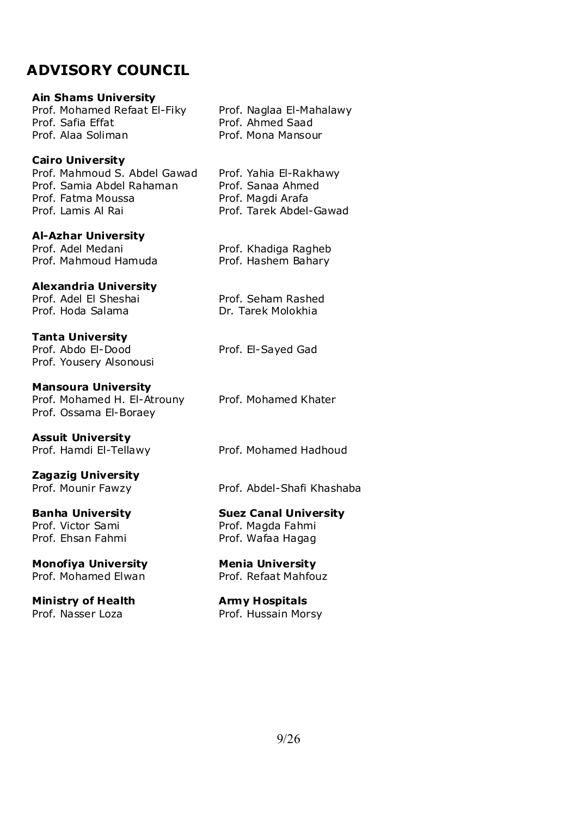### **ADVISORY COUNCIL**

#### **Ain Shams University**

Prof. Mohamed Refaat El-Fiky Prof. Naglaa El-Mahalawy Prof. Safia Effat Prof. Ahmed Saad Prof. Alaa Soliman Prof. Mona Mansour

#### **Cairo University**

Prof. Mahmoud S. Abdel Gawad Prof. Yahia El-Rakhawy Prof. Samia Abdel Rahaman Prof. Sanaa Ahmed Prof. Fatma Moussa Prof. Magdi Arafa Prof. Lamis Al Rai Prof. Tarek Abdel-Gawad

#### **Al-Azhar University**

Prof. Adel Medani Prof. Khadiga Ragheb Prof. Mahmoud Hamuda Prof. Hashem Bahary

#### **Alexandria University**

Prof. Adel El Sheshai Prof. Seham Rashed Prof. Hoda Salama Dr. Tarek Molokhia

#### **Tanta University**

Prof. Abdo El-Dood Prof. El-Sayed Gad Prof. Yousery Alsonousi

#### **Mansoura University**

Prof. Mohamed H. El-Atrouny Prof. Mohamed Khater Prof. Ossama El-Boraey

**Assuit University** 

**Zagazig University** 

Prof. Victor Sami<br>
Prof. Fhsan Fahmi<br>
Prof. Wafaa Hagag

#### **Monofiya University Menia University**  Prof. Mohamed Elwan Prof. Refaat Mahfouz

**Ministry of Health Army Hospitals** Prof. Nasser Loza Prof. Hussain Morsy

Prof. Hamdi El-Tellawy Prof. Mohamed Hadhoud

Prof. Mounir Fawzy Prof. Abdel-Shafi Khashaba

# **Banha University Suez Canal University**

Prof. Wafaa Hagag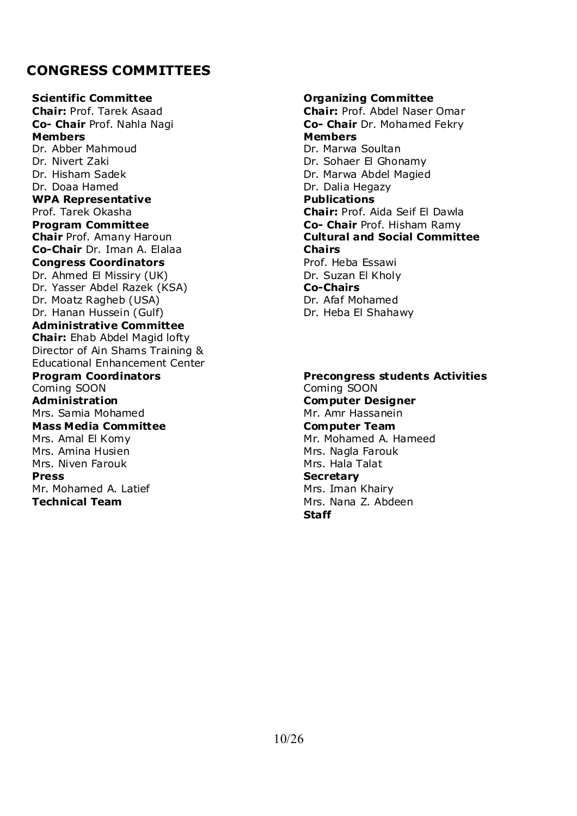### **CONGRESS COMMITTEES**

**Scientific Committee Committee** *Committee* **Organizing Committee Chair:** Prof. Tarek Asaad **Chair:** Prof. Abdel Naser Omar **Co- Chair** Prof. Nahla Nagi **Co- Chair** Dr. Mohamed Fekry **Members Members**  Dr. Abber Mahmoud Dr. Marwa Soultan Dr. Nivert Zaki Dr. Sohaer El Ghonamy Dr. Hisham Sadek Dr. Marwa Abdel Magied Dr. Doaa Hamed Dr. Dalia Hegazy **WPA Representative Publications** Prof. Tarek Okasha **Chair:** Prof. Aida Seif El Dawla **Program Committee Co- Chair** Prof. Hisham Ramy **Chair** Prof. Amany Haroun **Cultural and Social Committee Co-Chair** Dr. Iman A. Elalaa **Chairs Congress Coordinators Constanting Congress Coordinators Prof. Heba Essawi** Dr. Ahmed El Missiry (UK) Dr. Suzan El Kholy Dr. Yasser Abdel Razek (KSA) **Co-Chairs**  Dr. Moatz Ragheb (USA) Dr. Afaf Mohamed Dr. Hanan Hussein (Gulf) Dr. Heba El Shahawy **Administrative Committee Chair:** Ehab Abdel Magid lofty Director of Ain Shams Training & Educational Enhancement Center **Program Coordinators and Precongress students Activities**<br>
Coming SOON Coming SOON **Administration Computer Designer**  Mrs. Samia Mohamed Mr. Amr Hassanein **Mass Media Committee Line Computer Team Computer Team** Mrs. Amal El Komy Mr. Mohamed A. Hameed Mrs. Amina Husien Mrs. Nagla Farouk Mrs. Niven Farouk Mrs. Hala Talat **Press** Secretary Mr. Mohamed A. Latief Mrs. Iman Khairy **Technical Team 1988** Mrs. Nana Z. Abdeen

# Coming SOON **Staff**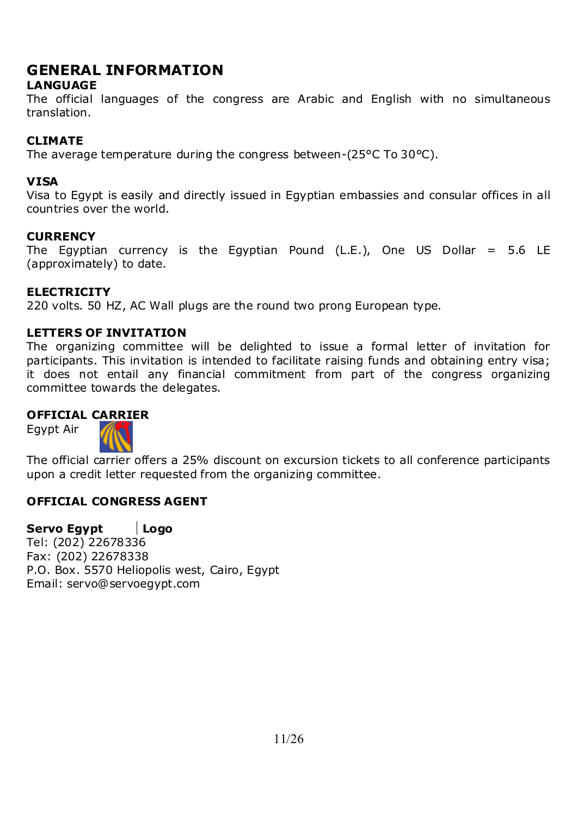### **GENERAL INFORMATION**

### **LANGUAGE**

The official languages of the congress are Arabic and English with no simultaneous translation.

### **CLIMATE**

The average temperature during the congress between-(25°C To 30°C).

### **VISA**

Visa to Egypt is easily and directly issued in Egyptian embassies and consular offices in all countries over the world.

### **CURRENCY**

The Egyptian currency is the Egyptian Pound (L.E.), One US Dollar =  $5.6$  LE (approximately) to date.

### **ELECTRICITY**

220 volts. 50 HZ, AC Wall plugs are the round two prong European type.

### **LETTERS OF INVITATION**

The organizing committee will be delighted to issue a formal letter of invitation for participants. This invitation is intended to facilitate raising funds and obtaining entry visa; it does not entail any financial commitment from part of the congress organizing committee towards the delegates.

### **OFFICIAL CARRIER**

Egypt Air



The official carrier offers a 25% discount on excursion tickets to all conference participants upon a credit letter requested from the organizing committee.

### **OFFICIAL CONGRESS AGENT**

**Servo Egypt Logo**  Tel: (202) 22678336 Fax: (202) 22678338 P.O. Box. 5570 Heliopolis west, Cairo, Egypt Email: servo@servoegypt.com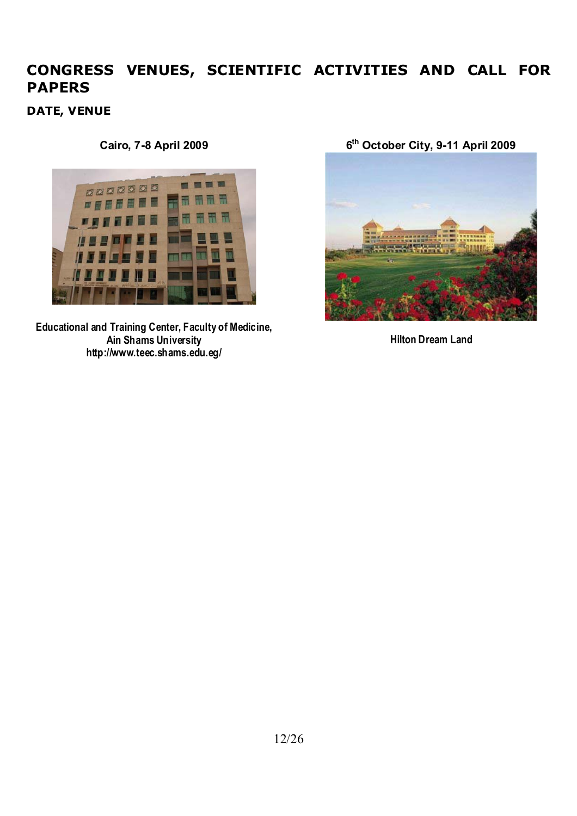### **CONGRESS VENUES, SCIENTIFIC ACTIVITIES AND CALL FOR PAPERS**

**DATE, VENUE** 



**Educational and Training Center, Faculty of Medicine, Ain Shams University http://www.teec.shams.edu.eg/**

**Cairo, 7-8 April 2009 6th October City, 9-11 April 2009**



**Hilton Dream Land**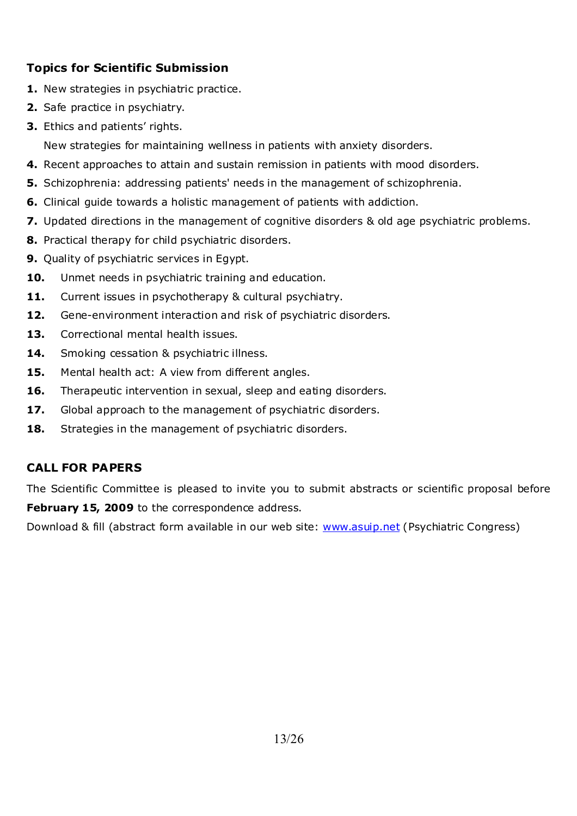### **Topics for Scientific Submission**

- **1.** New strategies in psychiatric practice.
- **2.** Safe practice in psychiatry.
- **3.** Ethics and patients' rights.

New strategies for maintaining wellness in patients with anxiety disorders.

- **4.** Recent approaches to attain and sustain remission in patients with mood disorders.
- **5.** Schizophrenia: addressing patients' needs in the management of schizophrenia.
- **6.** Clinical guide towards a holistic management of patients with addiction.
- **7.** Updated directions in the management of cognitive disorders & old age psychiatric problems.
- **8.** Practical therapy for child psychiatric disorders.
- **9.** Quality of psychiatric services in Egypt.
- **10.** Unmet needs in psychiatric training and education.
- 11. Current issues in psychotherapy & cultural psychiatry.
- **12.** Gene-environment interaction and risk of psychiatric disorders.
- **13.** Correctional mental health issues.
- 14. Smoking cessation & psychiatric illness.
- **15.** Mental health act: A view from different angles.
- **16.** Therapeutic intervention in sexual, sleep and eating disorders.
- **17.** Global approach to the management of psychiatric disorders.
- **18.** Strategies in the management of psychiatric disorders.

### **CALL FOR PAPERS**

The Scientific Committee is pleased to invite you to submit abstracts or scientific proposal before February 15, 2009 to the correspondence address.

Download & fill (abstract form available in our web site: www.asuip.net (Psychiatric Congress)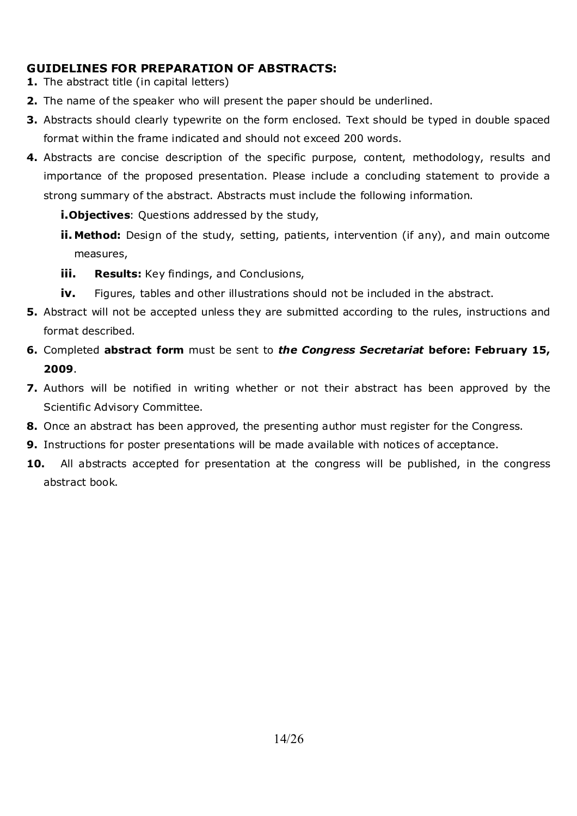### **GUIDELINES FOR PREPARATION OF ABSTRACTS:**

- **1.** The abstract title (in capital letters)
- **2.** The name of the speaker who will present the paper should be underlined.
- **3.** Abstracts should clearly typewrite on the form enclosed. Text should be typed in double spaced format within the frame indicated and should not exceed 200 words.
- **4.** Abstracts are concise description of the specific purpose, content, methodology, results and importance of the proposed presentation. Please include a concluding statement to provide a strong summary of the abstract. Abstracts must include the following information.
	- **i.Objectives**: Questions addressed by the study,
	- **ii. Method:** Design of the study, setting, patients, intervention (if any), and main outcome measures,
	- **iii. Results:** Key findings, and Conclusions,
	- **iv.** Figures, tables and other illustrations should not be included in the abstract.
- **5.** Abstract will not be accepted unless they are submitted according to the rules, instructions and format described.
- **6.** Completed **abstract form** must be sent to *the Congress Secretariat* **before: February 15, 2009**.
- **7.** Authors will be notified in writing whether or not their abstract has been approved by the Scientific Advisory Committee.
- **8.** Once an abstract has been approved, the presenting author must register for the Congress.
- **9.** Instructions for poster presentations will be made available with notices of acceptance.
- **10.** All abstracts accepted for presentation at the congress will be published, in the congress abstract book.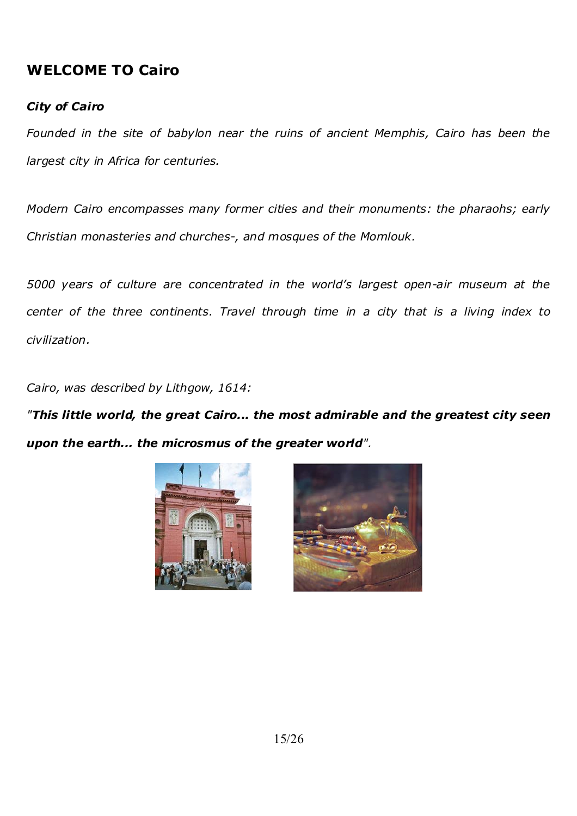### **WELCOME TO Cairo**

### *City of Cairo*

*Founded in the site of babylon near the ruins of ancient Memphis, Cairo has been the largest city in Africa for centuries.* 

*Modern Cairo encompasses many former cities and their monuments: the pharaohs; early Christian monasteries and churches-, and mosques of the Momlouk.* 

*5000 years of culture are concentrated in the world's largest open-air museum at the center of the three continents. Travel through time in a city that is a living index to civilization.* 

*Cairo, was described by Lithgow, 1614:* 

*"This little world, the great Cairo... the most admirable and the greatest city seen upon the earth... the microsmus of the greater world".* 



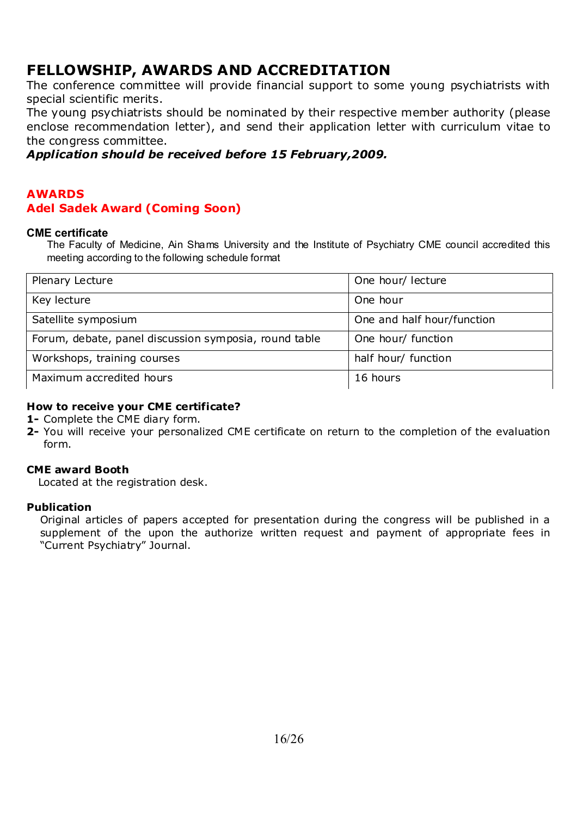### **FELLOWSHIP, AWARDS AND ACCREDITATION**

The conference committee will provide financial support to some young psychiatrists with special scientific merits.

The young psychiatrists should be nominated by their respective member authority (please enclose recommendation letter), and send their application letter with curriculum vitae to the congress committee.

### *Application should be received before 15 February,2009.*

### **AWARDS Adel Sadek Award (Coming Soon)**

#### **CME certificate**

The Faculty of Medicine, Ain Shams University and the Institute of Psychiatry CME council accredited this meeting according to the following schedule format

| Plenary Lecture                                       | One hour/ lecture          |
|-------------------------------------------------------|----------------------------|
| Key lecture                                           | One hour                   |
| Satellite symposium                                   | One and half hour/function |
| Forum, debate, panel discussion symposia, round table | One hour/ function         |
| Workshops, training courses                           | half hour/ function        |
| Maximum accredited hours                              | 16 hours                   |

#### **How to receive your CME certificate?**

**1-** Complete the CME diary form.

**2-** You will receive your personalized CME certificate on return to the completion of the evaluation form.

#### **CME award Booth**

Located at the registration desk.

#### **Publication**

Original articles of papers accepted for presentation during the congress will be published in a supplement of the upon the authorize written request and payment of appropriate fees in "Current Psychiatry" Journal.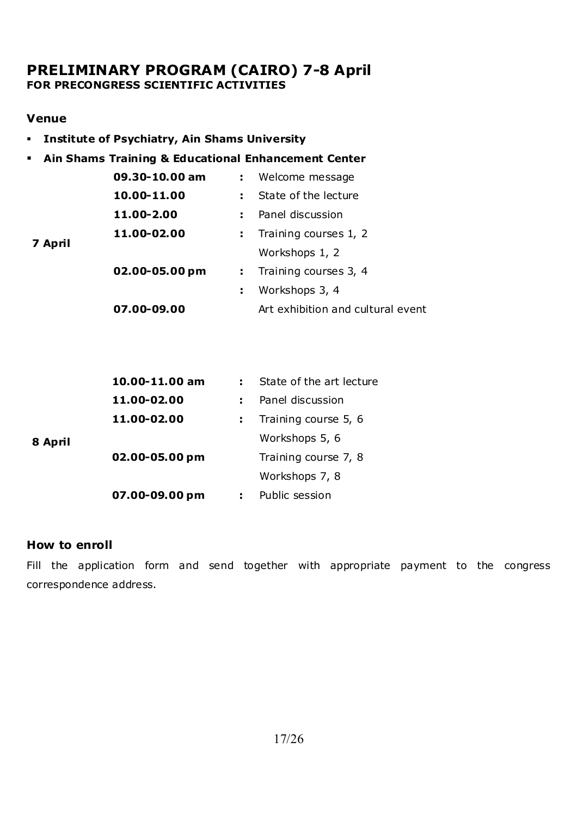### **PRELIMINARY PROGRAM (CAIRO) 7-8 April FOR PRECONGRESS SCIENTIFIC ACTIVITIES**

### **Venue**

- **Institute of Psychiatry, Ain Shams University**
- **Ain Shams Training & Educational Enhancement Center**

|         | 09.30-10.00 am | : Welcome message                 |  |
|---------|----------------|-----------------------------------|--|
|         | 10.00-11.00    | : State of the lecture            |  |
|         | 11.00-2.00     | Panel discussion<br>t.            |  |
|         | 11.00-02.00    | Training courses 1, 2<br>÷.       |  |
| 7 April |                | Workshops 1, 2                    |  |
|         | 02.00-05.00 pm | : Training courses 3, 4           |  |
|         |                | Workshops 3, 4<br>÷.              |  |
|         | 07.00-09.00    | Art exhibition and cultural event |  |

|         | 10.00-11.00 am | State of the art lecture |
|---------|----------------|--------------------------|
|         | 11.00-02.00    | Panel discussion         |
|         | 11.00-02.00    | Training course 5, 6     |
| 8 April |                | Workshops 5, 6           |
|         | 02.00-05.00 pm | Training course 7, 8     |
|         |                | Workshops 7, 8           |
|         | 07.00-09.00 pm | Public session           |

### **How to enroll**

Fill the application form and send together with appropriate payment to the congress correspondence address.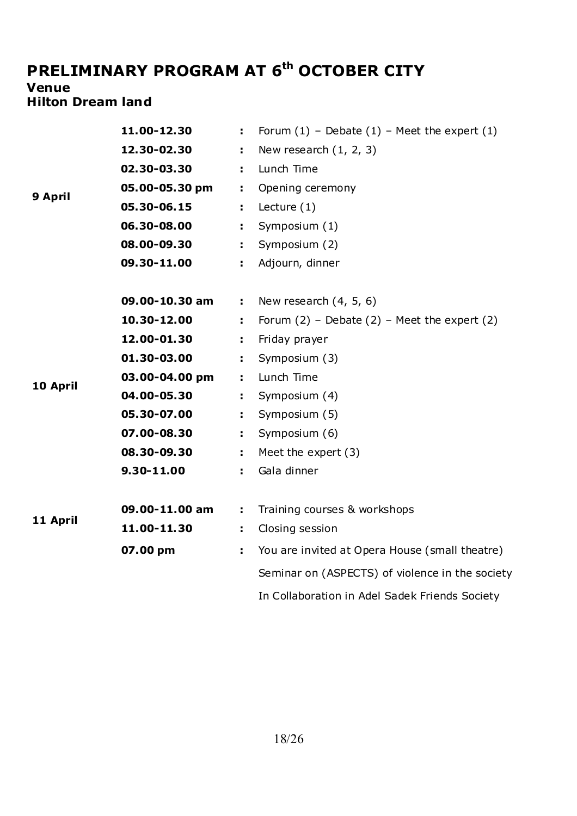# PRELIMINARY PROGRAM AT 6<sup>th</sup> OCTOBER CITY

# **Venue**

### **Hilton Dream land**

|          | 11.00-12.30    | ÷. | Forum $(1)$ - Debate $(1)$ - Meet the expert $(1)$ |
|----------|----------------|----|----------------------------------------------------|
|          | 12.30-02.30    | ÷. | New research $(1, 2, 3)$                           |
|          | 02.30-03.30    | ÷. | Lunch Time                                         |
| 9 April  | 05.00-05.30 pm | ÷. | Opening ceremony                                   |
|          | 05.30-06.15    | ÷. | Lecture $(1)$                                      |
|          | 06.30-08.00    | ÷. | Symposium (1)                                      |
|          | 08.00-09.30    | ÷. | Symposium (2)                                      |
|          | 09.30-11.00    | ÷. | Adjourn, dinner                                    |
|          |                |    |                                                    |
|          | 09.00-10.30 am | ÷. | New research $(4, 5, 6)$                           |
|          | 10.30-12.00    | ÷. | Forum $(2)$ – Debate $(2)$ – Meet the expert $(2)$ |
|          | 12.00-01.30    | t. | Friday prayer                                      |
|          | 01.30-03.00    | ÷. | Symposium (3)                                      |
| 10 April | 03.00-04.00 pm | ÷. | Lunch Time                                         |
|          | 04.00-05.30    | ÷. | Symposium (4)                                      |
|          | 05.30-07.00    | ÷. | Symposium (5)                                      |
|          | 07.00-08.30    | ÷. | Symposium (6)                                      |
|          | 08.30-09.30    | ÷. | Meet the expert $(3)$                              |
|          | 9.30-11.00     | ÷. | Gala dinner                                        |
|          |                |    |                                                    |
| 11 April | 09.00-11.00 am | ÷. | Training courses & workshops                       |
|          | 11.00-11.30    | ÷. | Closing session                                    |
|          | 07.00 pm       | ÷. | You are invited at Opera House (small theatre)     |
|          |                |    | Seminar on (ASPECTS) of violence in the society    |
|          |                |    | In Collaboration in Adel Sadek Friends Society     |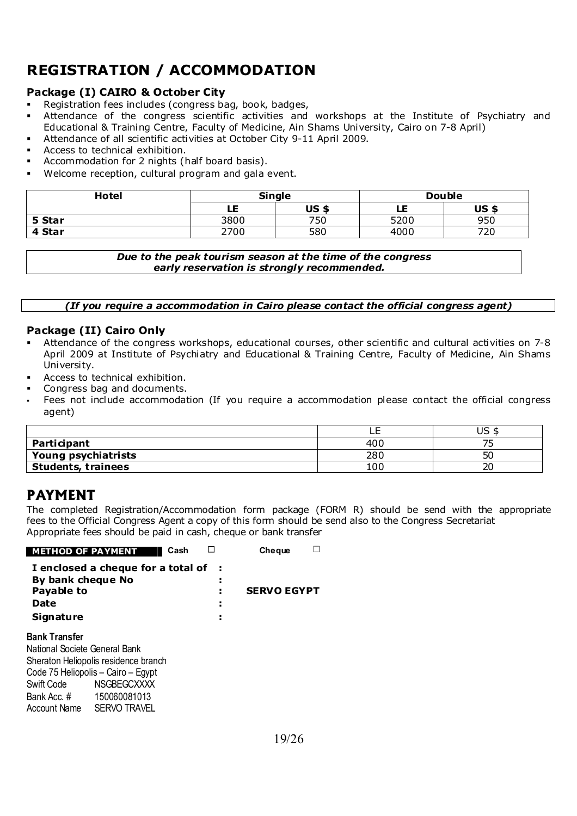## **REGISTRATION / ACCOMMODATION**

### **Package (I) CAIRO & October City**

- **Registration fees includes (congress bag, book, badges,**
- Attendance of the congress scientific activities and workshops at the Institute of Psychiatry and Educational & Training Centre, Faculty of Medicine, Ain Shams University, Cairo on 7-8 April)
- Attendance of all scientific activities at October City 9-11 April 2009.
- Access to technical exhibition.
- Accommodation for 2 nights (half board basis).
- Welcome reception, cultural program and gala event.

| Hotel  | <b>Single</b> |              |      | <b>Double</b> |
|--------|---------------|--------------|------|---------------|
|        | LE            | <b>US \$</b> | LE   | <b>US \$</b>  |
| 5 Star | 3800          | 750          | 5200 | 950           |
| 4 Star | 2700          | 580          | 4000 | 720           |

*Due to the peak tourism season at the time of the congress early reservation is strongly recommended.*

*(If you require a accommodation in Cairo please contact the official congress agent)* 

#### **Package (II) Cairo Only**

- Attendance of the congress workshops, educational courses, other scientific and cultural activities on 7-8 April 2009 at Institute of Psychiatry and Educational & Training Centre, Faculty of Medicine, Ain Shams University.
- Access to technical exhibition.
- Congress bag and documents.
- Fees not include accommodation (If you require a accommodation please contact the official congress agent)

|                           | --  | $\sim$<br>UJ |
|---------------------------|-----|--------------|
| Participant               | 400 |              |
| Young psychiatrists       | 280 | 50           |
| <b>Students, trainees</b> | 100 | 20           |

### **PAYMENT**

The completed Registration/Accommodation form package (FORM R) should be send with the appropriate fees to the Official Congress Agent a copy of this form should be send also to the Congress Secretariat Appropriate fees should be paid in cash, cheque or bank transfer

| <b>METHOD OF PAYMENT</b>      |                                      | Cash |        | Cheque             |  |
|-------------------------------|--------------------------------------|------|--------|--------------------|--|
|                               | I enclosed a cheque for a total of   |      |        |                    |  |
| By bank cheque No             |                                      |      | ٠<br>٠ |                    |  |
| Payable to                    |                                      |      |        | <b>SERVO EGYPT</b> |  |
| Date                          |                                      |      | ٠<br>٠ |                    |  |
| <b>Signature</b>              |                                      |      | ٠<br>٠ |                    |  |
| <b>Bank Transfer</b>          |                                      |      |        |                    |  |
| National Societe General Bank |                                      |      |        |                    |  |
|                               | Sheraton Heliopolis residence branch |      |        |                    |  |
|                               | Code 75 Heliopolis - Cairo - Egypt   |      |        |                    |  |
| Swift Code                    | <b>NSGBEGCXXXX</b>                   |      |        |                    |  |
| Bank Acc. #                   | 150060081013                         |      |        |                    |  |
| Account Name                  | <b>SERVO TRAVEL</b>                  |      |        |                    |  |
|                               |                                      |      |        |                    |  |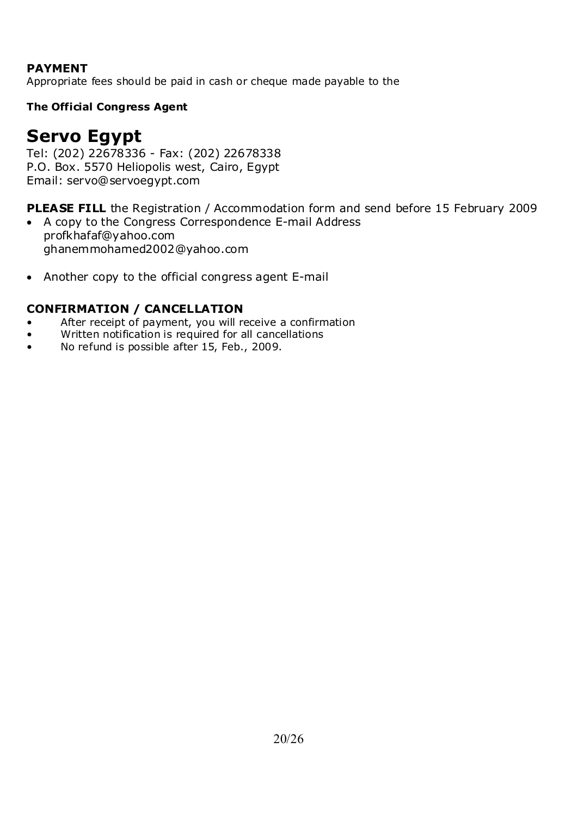### **PAYMENT**

Appropriate fees should be paid in cash or cheque made payable to the

### **The Official Congress Agent**

# **Servo Egypt**

Tel: (202) 22678336 - Fax: (202) 22678338 P.O. Box. 5570 Heliopolis west, Cairo, Egypt Email: servo@servoegypt.com

**PLEASE FILL** the Registration / Accommodation form and send before 15 February 2009

- A copy to the Congress Correspondence E-mail Address profkhafaf@yahoo.com ghanemmohamed2002@yahoo.com
- Another copy to the official congress agent E-mail

### **CONFIRMATION / CANCELLATION**

- After receipt of payment, you will receive a confirmation
- Written notification is required for all cancellations
- No refund is possible after 15, Feb., 2009.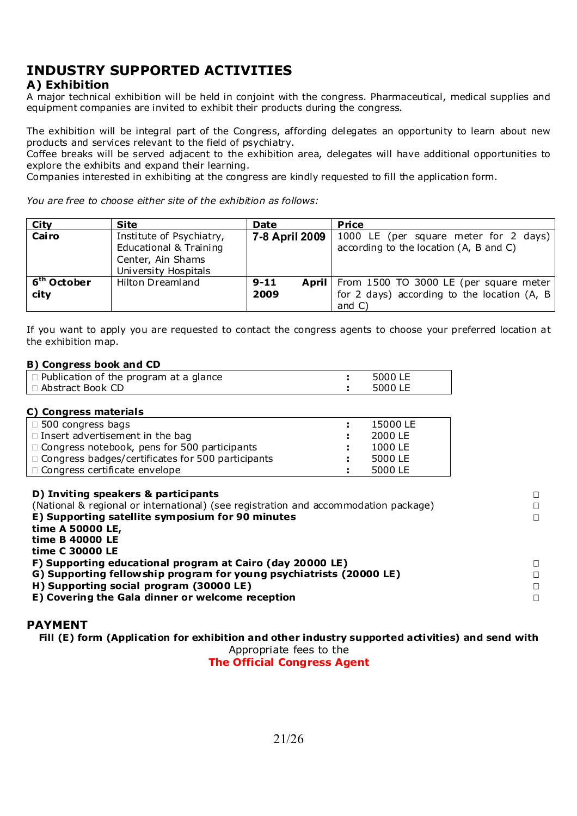### **INDUSTRY SUPPORTED ACTIVITIES**

### **A) Exhibition**

A major technical exhibition will be held in conjoint with the congress. Pharmaceutical, medical supplies and equipment companies are invited to exhibit their products during the congress.

The exhibition will be integral part of the Congress, affording delegates an opportunity to learn about new products and services relevant to the field of psychiatry.

Coffee breaks will be served adjacent to the exhibition area, delegates will have additional opportunities to explore the exhibits and expand their learning.

Companies interested in exhibiting at the congress are kindly requested to fill the application form.

*You are free to choose either site of the exhibition as follows:* 

| City                                       | <b>Site</b>                                                                                     | Date             | Price                                                                                                        |
|--------------------------------------------|-------------------------------------------------------------------------------------------------|------------------|--------------------------------------------------------------------------------------------------------------|
| Cairo                                      | Institute of Psychiatry,<br>Educational & Training<br>Center, Ain Shams<br>University Hospitals | 7-8 April 2009   | 1000 LE (per square meter for 2 days)<br>according to the location (A, B and C)                              |
| $\overline{6}^{\text{th}}$ October<br>city | Hilton Dreamland                                                                                | $9 - 11$<br>2009 | April   From 1500 TO 3000 LE (per square meter  <br>for 2 days) according to the location (A, B<br>and $C$ ) |

If you want to apply you are requested to contact the congress agents to choose your preferred location at the exhibition map.

#### **B) Congress book and CD**

| $\Box$ Publication of the program at a glance | 5000 LE |
|-----------------------------------------------|---------|
| l □ Abstract Book CD                          | 5000 LE |

| C) Congress materials                                    |    |          |
|----------------------------------------------------------|----|----------|
| $\Box$ 500 congress bags                                 |    | 15000 LE |
| $\Box$ Insert advertisement in the bag                   |    | 2000 LE  |
| □ Congress notebook, pens for 500 participants           | ÷. | 1000 LE  |
| $\Box$ Congress badges/certificates for 500 participants | т. | 5000 LE  |
| □ Congress certificate envelope                          |    | 5000 LE  |

#### **D) Inviting speakers & participants**

(National & regional or international) (see registration and accommodation package) **E) Supporting satellite symposium for 90 minutes time A 50000 LE, time B 40000 LE time C 30000 LE F) Supporting educational program at Cairo (day 20000 LE) G) Supporting fellowship program for young psychiatrists (20000 LE)** 

**H) Supporting social program (30000 LE)** 

**E) Covering the Gala dinner or welcome reception** 

#### **PAYMENT**

**Fill (E) form (Application for exhibition and other industry supported activities) and send with** 

 $\Box$ 

Appropriate fees to the

**The Official Congress Agent**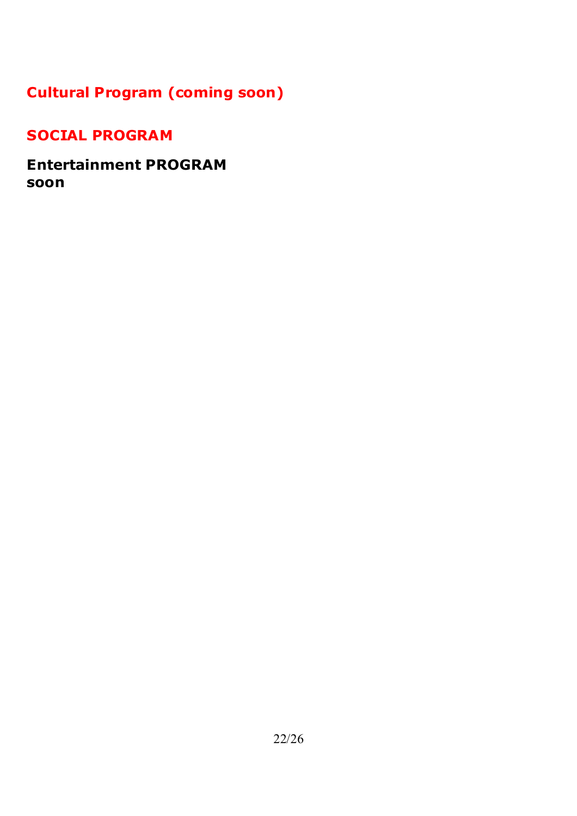## **Cultural Program (coming soon)**

### **SOCIAL PROGRAM**

**Entertainment PROGRAM soon**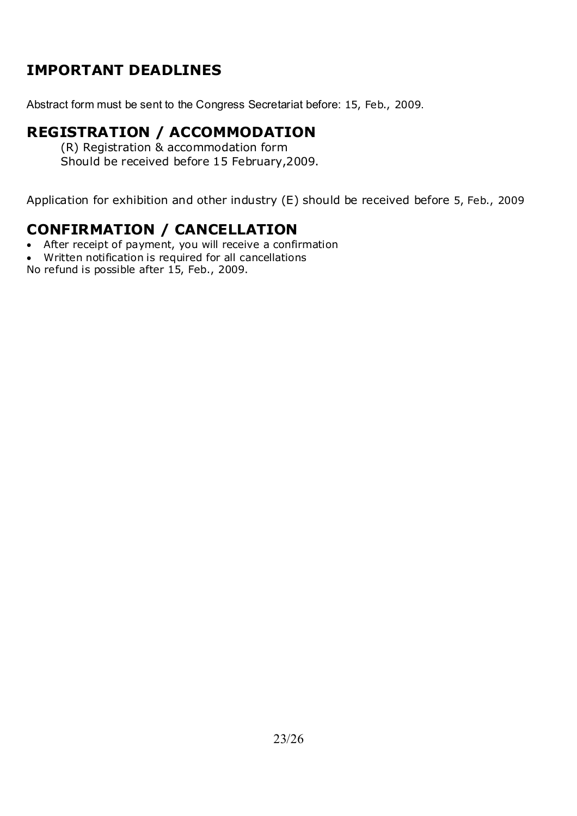### **IMPORTANT DEADLINES**

Abstract form must be sent to the Congress Secretariat before: 15, Feb., 2009.

### **REGISTRATION / ACCOMMODATION**

(R) Registration & accommodation form Should be received before 15 February,2009.

Application for exhibition and other industry (E) should be received before 5, Feb., 2009

### **CONFIRMATION / CANCELLATION**

- After receipt of payment, you will receive a confirmation
- Written notification is required for all cancellations

No refund is possible after 15, Feb., 2009.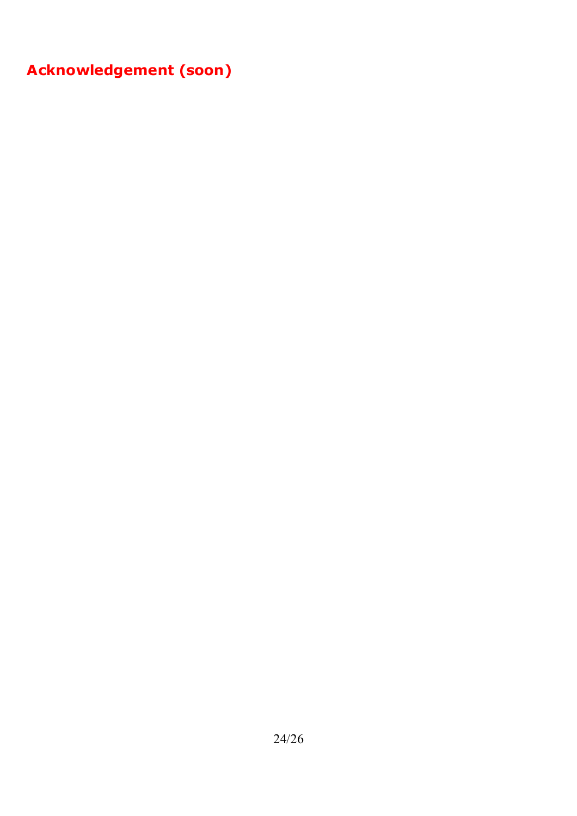**Acknowledgement (soon)**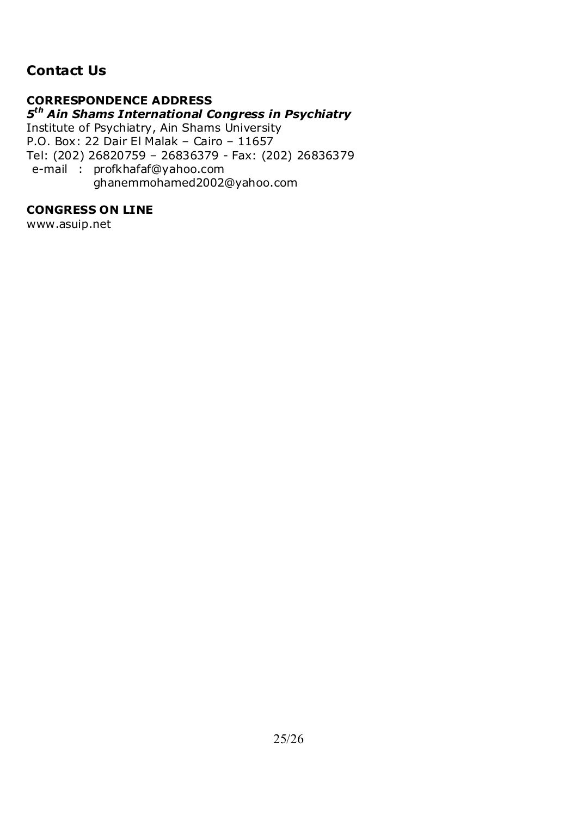### **Contact Us**

### **CORRESPONDENCE ADDRESS**

### *5th Ain Shams International Congress in Psychiatry*

Institute of Psychiatry, Ain Shams University P.O. Box: 22 Dair El Malak – Cairo – 11657 Tel: (202) 26820759 – 26836379 - Fax: (202) 26836379 e-mail : profkhafaf@yahoo.com ghanemmohamed2002@yahoo.com

### **CONGRESS ON LINE**

www.asuip.net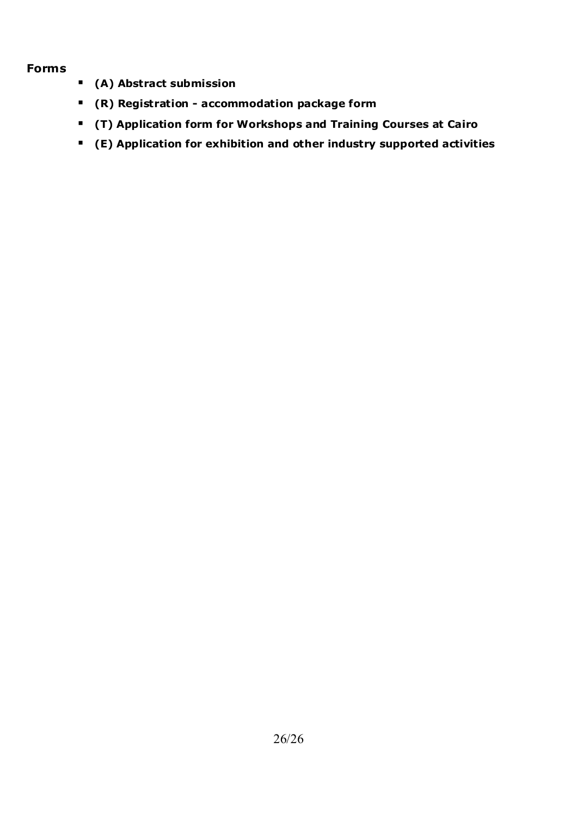### **Forms**

- **(A) Abstract submission**
- **(R) Registration accommodation package form**
- **(T) Application form for Workshops and Training Courses at Cairo**
- **(E) Application for exhibition and other industry supported activities**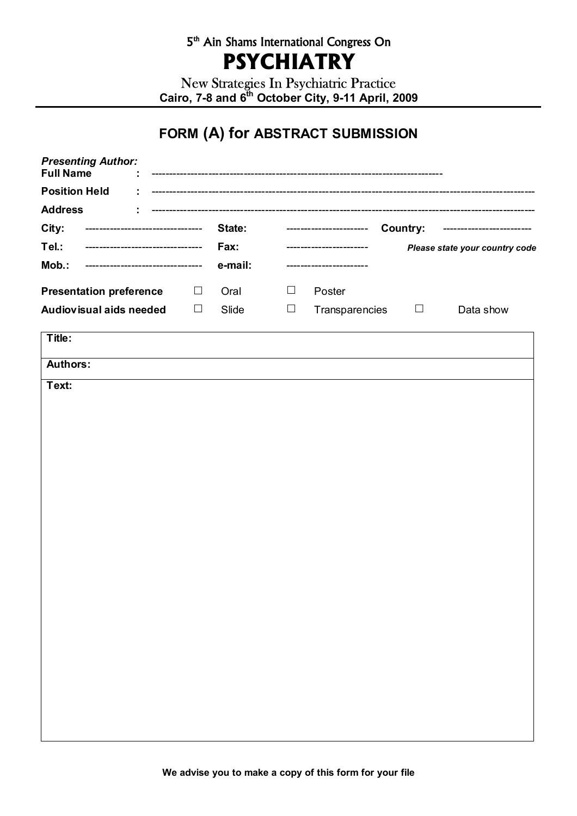### 5<sup>th</sup> Ain Shams International Congress On **PSYCHIATRY**

New Strategies In Psychiatric Practice Cairo, 7-8 and 6<sup>th</sup> October City, 9-11 April, 2009

## **FORM (A) for ABSTRACT SUBMISSION**

| <b>Presenting Author:</b><br><b>Full Name</b> |        |         |        |                        |                 |                                |
|-----------------------------------------------|--------|---------|--------|------------------------|-----------------|--------------------------------|
| <b>Position Held</b>                          |        |         |        |                        |                 |                                |
| <b>Address</b>                                |        |         |        |                        |                 |                                |
| City:<br>-----------------------------        |        | State:  |        | ---------------------- | <b>Country:</b> |                                |
| Tel.:<br>----------------------------         |        | Fax:    |        | --------------------   |                 | Please state your country code |
| Mob.:<br>----------------------               |        | e-mail: |        |                        |                 |                                |
| <b>Presentation preference</b>                | $\Box$ | Oral    | $\Box$ | Poster                 |                 |                                |
| Audiovisual aids needed                       | $\Box$ | Slide   | $\Box$ | Transparencies         | $\Box$          | Data show                      |
| Title:                                        |        |         |        |                        |                 |                                |
| <b>Authors:</b>                               |        |         |        |                        |                 |                                |
| Text:                                         |        |         |        |                        |                 |                                |
|                                               |        |         |        |                        |                 |                                |
|                                               |        |         |        |                        |                 |                                |
|                                               |        |         |        |                        |                 |                                |
|                                               |        |         |        |                        |                 |                                |
|                                               |        |         |        |                        |                 |                                |
|                                               |        |         |        |                        |                 |                                |
|                                               |        |         |        |                        |                 |                                |
|                                               |        |         |        |                        |                 |                                |
|                                               |        |         |        |                        |                 |                                |
|                                               |        |         |        |                        |                 |                                |
|                                               |        |         |        |                        |                 |                                |
|                                               |        |         |        |                        |                 |                                |
|                                               |        |         |        |                        |                 |                                |
|                                               |        |         |        |                        |                 |                                |
|                                               |        |         |        |                        |                 |                                |
|                                               |        |         |        |                        |                 |                                |
|                                               |        |         |        |                        |                 |                                |
|                                               |        |         |        |                        |                 |                                |
|                                               |        |         |        |                        |                 |                                |
|                                               |        |         |        |                        |                 |                                |
|                                               |        |         |        |                        |                 |                                |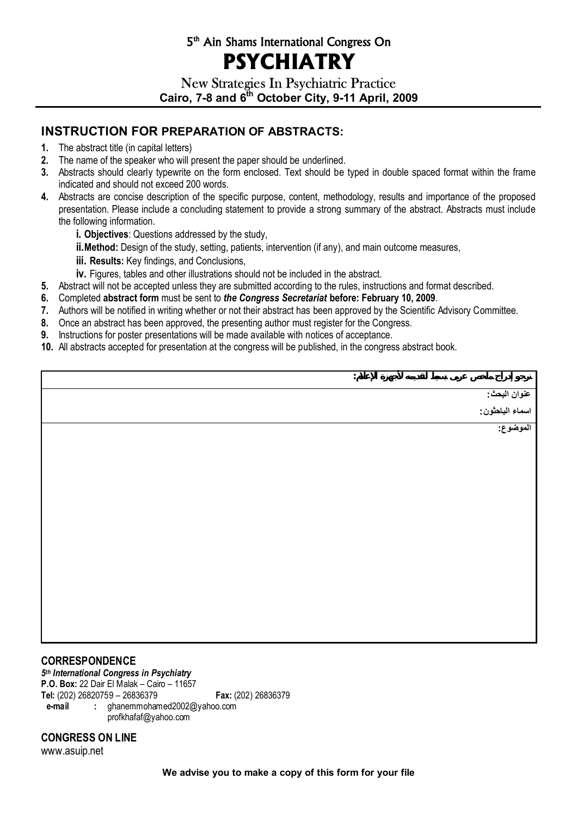### 5th Ain Shams International Congress On **PSYCHIATRY**

New Strategies In Psychiatric Practice Cairo, 7-8 and 6<sup>th</sup> October City, 9-11 April, 2009

### **INSTRUCTION FOR PREPARATION OF ABSTRACTS:**

- **1.** The abstract title (in capital letters)
- **2.** The name of the speaker who will present the paper should be underlined.
- **3.** Abstracts should clearly typewrite on the form enclosed. Text should be typed in double spaced format within the frame indicated and should not exceed 200 words.
- **4.** Abstracts are concise description of the specific purpose, content, methodology, results and importance of the proposed presentation. Please include a concluding statement to provide a strong summary of the abstract. Abstracts must include the following information.
	- **i. Objectives**: Questions addressed by the study,
	- **ii.Method:** Design of the study, setting, patients, intervention (if any), and main outcome measures,
	- **iii. Results:** Key findings, and Conclusions,
	- **iv.** Figures, tables and other illustrations should not be included in the abstract.
- **5.** Abstract will not be accepted unless they are submitted according to the rules, instructions and format described.
- **6.** Completed **abstract form** must be sent to *the Congress Secretariat* **before: February 10, 2009**.
- **7.** Authors will be notified in writing whether or not their abstract has been approved by the Scientific Advisory Committee.
- **8.** Once an abstract has been approved, the presenting author must register for the Congress.
- **9.** Instructions for poster presentations will be made available with notices of acceptance.
- **10.** All abstracts accepted for presentation at the congress will be published, in the congress abstract book.

| $\ddot{\cdot}$ |                                               |
|----------------|-----------------------------------------------|
|                |                                               |
|                | عنوان البحث :<br>اسماء الباحثون :<br>الموضوع: |
|                |                                               |
|                |                                               |
|                |                                               |
|                |                                               |
|                |                                               |
|                |                                               |
|                |                                               |
|                |                                               |
|                |                                               |
|                |                                               |
|                |                                               |
|                |                                               |
|                |                                               |
|                |                                               |
|                |                                               |

#### **CORRESPONDENCE**

*5th International Congress in Psychiatry*  **P.O. Box:** 22 Dair El Malak – Cairo – 11657 **Tel:** (202) 26820759 – 26836379 **Fax:** (202) 26836379 **e-mail :** ghanemmohamed2002@yahoo.com profkhafaf@yahoo.com

#### **CONGRESS ON LINE**

www.asuip.net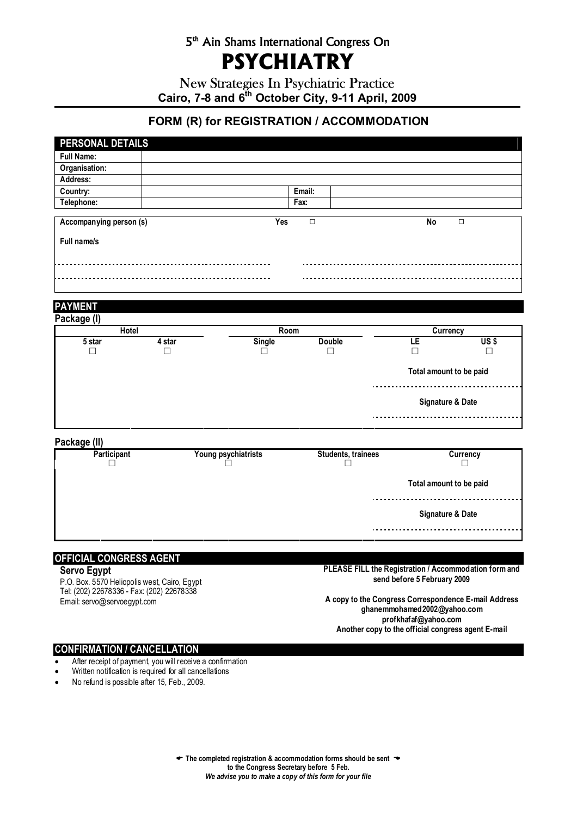### 5th Ain Shams International Congress On **PSYCHIATRY**

New Strategies In Psychiatric Practice Cairo, 7-8 and 6<sup>th</sup> October City, 9-11 April, 2009

### **FORM (R) for REGISTRATION / ACCOMMODATION**

| PERSONAL DETAILS        |        |                     |                           |                         |                 |
|-------------------------|--------|---------------------|---------------------------|-------------------------|-----------------|
| <b>Full Name:</b>       |        |                     |                           |                         |                 |
| Organisation:           |        |                     |                           |                         |                 |
| Address:                |        |                     |                           |                         |                 |
| Country:                |        |                     | Email:                    |                         |                 |
| Telephone:              |        |                     | Fax:                      |                         |                 |
| Accompanying person (s) |        | <b>Yes</b>          | $\overline{\Box}$         | No                      | $\Box$          |
| Full name/s             |        |                     |                           |                         |                 |
|                         |        |                     |                           |                         |                 |
|                         |        |                     |                           |                         |                 |
|                         |        |                     |                           |                         |                 |
|                         |        |                     |                           |                         |                 |
| <b>PAYMENT</b>          |        |                     |                           |                         |                 |
| Package (I)             |        |                     |                           |                         |                 |
| <b>Hotel</b>            |        | Room                |                           | Currency                |                 |
| 5 star                  | 4 star | <b>Single</b>       | <b>Double</b>             | LE                      | US <sub>s</sub> |
| $\Box$                  | $\Box$ | П                   | $\Box$                    | П                       | П               |
|                         |        |                     |                           | Total amount to be paid |                 |
|                         |        |                     |                           |                         |                 |
|                         |        |                     |                           | Signature & Date        |                 |
|                         |        |                     |                           |                         |                 |
| Package (II)            |        |                     |                           |                         |                 |
| Participant             |        | Young psychiatrists | <b>Students, trainees</b> |                         | <b>Currency</b> |
| ΙI                      |        |                     |                           |                         |                 |
|                         |        |                     |                           | Total amount to be paid |                 |
|                         |        |                     |                           |                         |                 |
|                         |        |                     |                           | Signature & Date        |                 |
|                         |        |                     |                           |                         |                 |

#### **OFFICIAL CONGRESS AGENT**

#### **Servo Egypt**

P.O. Box. 5570 Heliopolis west, Cairo, Egypt Tel: (202) 22678336 - Fax: (202) 22678338 Email: servo@servoegypt.com

**PLEASE FILL the Registration / Accommodation form and send before 5 February 2009** 

**A copy to the Congress Correspondence E-mail Address ghanemmohamed2002@yahoo.com profkhafaf@yahoo.com Another copy to the official congress agent E-mail**

#### **CONFIRMATION / CANCELLATION**

- After receipt of payment, you will receive a confirmation
- Written notification is required for all cancellations
- No refund is possible after 15, Feb., 2009.

( **The completed registration & accommodation forms should be sent** ' **to the Congress Secretary before 5 Feb.**  *We advise you to make a copy of this form for your file*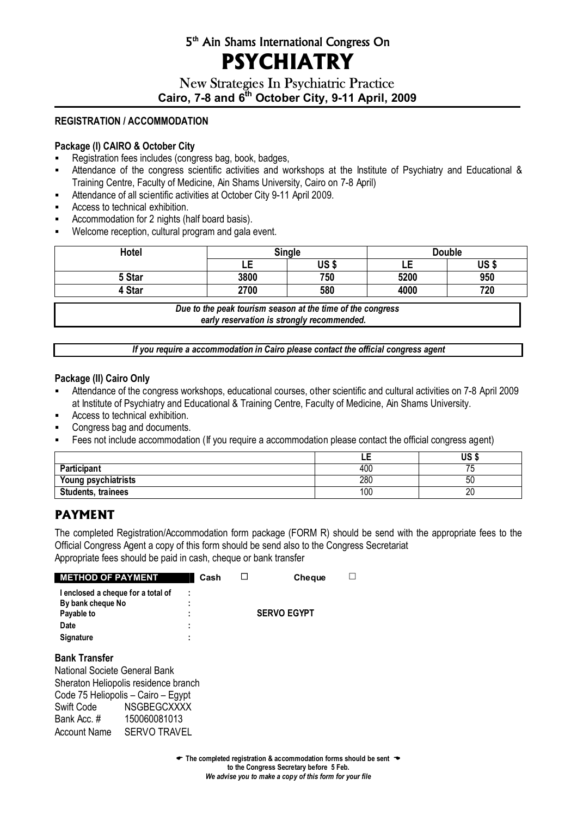### 5th Ain Shams International Congress On **PSYCHIATRY**

### New Strategies In Psychiatric Practice Cairo, 7-8 and 6<sup>th</sup> October City, 9-11 April, 2009

#### **REGISTRATION / ACCOMMODATION**

#### **Package (I) CAIRO & October City**

- Registration fees includes (congress bag, book, badges,
- Attendance of the congress scientific activities and workshops at the Institute of Psychiatry and Educational & Training Centre, Faculty of Medicine, Ain Shams University, Cairo on 7-8 April)
- Attendance of all scientific activities at October City 9-11 April 2009.
- Access to technical exhibition.
- Accommodation for 2 nights (half board basis).
- **Welcome reception, cultural program and gala event.**

| Hotel  | <b>Single</b> |             | <b>Double</b> |      |
|--------|---------------|-------------|---------------|------|
|        | ᄕ             | <b>US\$</b> | ᄕ             | US\$ |
| 5 Star | 3800          | 750         | 5200          | 950  |
| 4 Star | 2700          | 580         | 4000          | 720  |

*Due to the peak tourism season at the time of the congress early reservation is strongly recommended.*

*If you require a accommodation in Cairo please contact the official congress agent* 

#### **Package (II) Cairo Only**

- Attendance of the congress workshops, educational courses, other scientific and cultural activities on 7-8 April 2009 at Institute of Psychiatry and Educational & Training Centre, Faculty of Medicine, Ain Shams University.
- **Access to technical exhibition.**
- Congress bag and documents.
- Fees not include accommodation (If you require a accommodation please contact the official congress agent)

|                           | --  | US        |
|---------------------------|-----|-----------|
| Participant               | 400 | --<br>ں ، |
| Young psychiatrists       | 280 | ას        |
| <b>Students, trainees</b> | 100 | n,<br>۷L  |

### **PAYMENT**

The completed Registration/Accommodation form package (FORM R) should be send with the appropriate fees to the Official Congress Agent a copy of this form should be send also to the Congress Secretariat Appropriate fees should be paid in cash, cheque or bank transfer

| <b>METHOD OF PAYMENT</b>           |                                      | Cash | $\Box$             | <b>Cheque</b> |  |
|------------------------------------|--------------------------------------|------|--------------------|---------------|--|
| I enclosed a cheque for a total of | ٠                                    |      |                    |               |  |
| By bank cheque No                  | ٠<br>٠                               |      |                    |               |  |
| Payable to                         | ٠                                    |      | <b>SERVO EGYPT</b> |               |  |
| Date                               | ٠<br>٠                               |      |                    |               |  |
| <b>Signature</b>                   | ٠<br>۰                               |      |                    |               |  |
| <b>Bank Transfer</b>               |                                      |      |                    |               |  |
| National Societe General Bank      |                                      |      |                    |               |  |
|                                    | Sheraton Heliopolis residence branch |      |                    |               |  |
|                                    | Code 75 Heliopolis - Cairo - Egypt   |      |                    |               |  |
| Swift Code                         | <b>NSGBEGCXXXX</b>                   |      |                    |               |  |
| Bank Acc. #                        | 150060081013                         |      |                    |               |  |
| Account Name                       | <b>SERVO TRAVEL</b>                  |      |                    |               |  |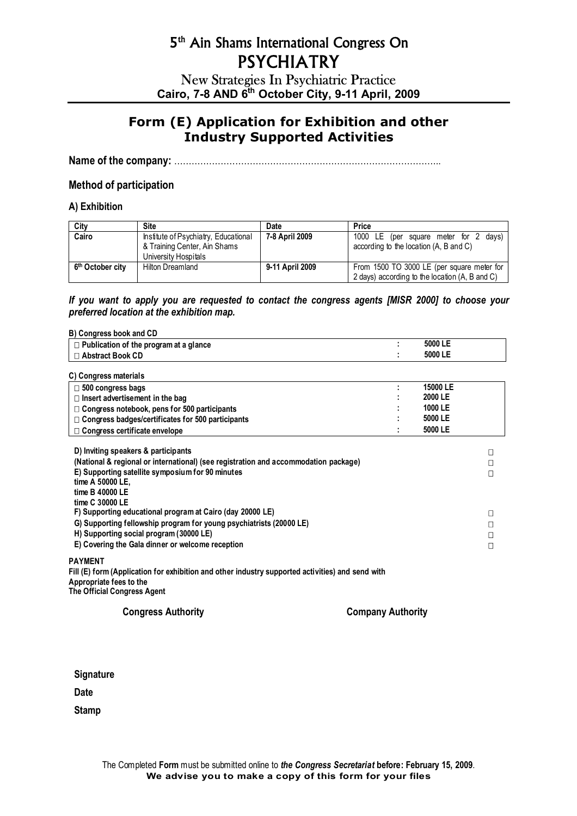New Strategies In Psychiatric Practice **Cairo, 7-8 AND 6th October City, 9-11 April, 2009**

### **Form (E) Application for Exhibition and other Industry Supported Activities**

**Name of the company:** ………………………………………………………………………………..

#### **Method of participation**

#### **A) Exhibition**

| City                         | <b>Site</b>                          | Date            | Price                                          |
|------------------------------|--------------------------------------|-----------------|------------------------------------------------|
| Cairo                        | Institute of Psychiatry, Educational | 7-8 April 2009  | 1000 LE (per square meter for 2<br>davs)       |
|                              | & Training Center, Ain Shams         |                 | according to the location (A, B and C)         |
|                              | University Hospitals                 |                 |                                                |
| 6 <sup>th</sup> October city | <b>Hilton Dreamland</b>              | 9-11 April 2009 | From 1500 TO 3000 LE (per square meter for     |
|                              |                                      |                 | 2 days) according to the location (A, B and C) |

#### *If you want to apply you are requested to contact the congress agents [MISR 2000] to choose your preferred location at the exhibition map.*

| B) Congress book and CD                                                                                                                                                                                                                  |          |                  |
|------------------------------------------------------------------------------------------------------------------------------------------------------------------------------------------------------------------------------------------|----------|------------------|
| $\Box$ Publication of the program at a glance                                                                                                                                                                                            | 5000 LE  |                  |
| □ Abstract Book CD                                                                                                                                                                                                                       | 5000 LE  |                  |
| C) Congress materials                                                                                                                                                                                                                    |          |                  |
| $\square$ 500 congress bags                                                                                                                                                                                                              | 15000 LE |                  |
| $\Box$ Insert advertisement in the bag                                                                                                                                                                                                   | 2000 LE  |                  |
| $\Box$ Congress notebook, pens for 500 participants                                                                                                                                                                                      | 1000 LE  |                  |
| $\Box$ Congress badges/certificates for 500 participants                                                                                                                                                                                 | 5000 LE  |                  |
| $\Box$ Congress certificate envelope                                                                                                                                                                                                     | 5000 LE  |                  |
| D) Inviting speakers & participants<br>(National & regional or international) (see registration and accommodation package)<br>E) Supporting satellite symposium for 90 minutes<br>time A 50000 LE.<br>time B 40000 LE<br>time C 30000 LE |          | $\Box$<br>П<br>П |
| F) Supporting educational program at Cairo (day 20000 LE)<br>G) Supporting fellowship program for young psychiatrists (20000 LE)                                                                                                         |          | $\Box$<br>П      |
| H) Supporting social program (30000 LE)                                                                                                                                                                                                  |          | □                |
| E) Covering the Gala dinner or welcome reception                                                                                                                                                                                         |          | П                |
| <b>PAYMENT</b><br>Fill (E) form (Application for exhibition and other industry supported activities) and send with                                                                                                                       |          |                  |

**Appropriate fees to the The Official Congress Agent** 

**Congress Authority Company Authority** 

**Signature** 

**Date** 

**Stamp**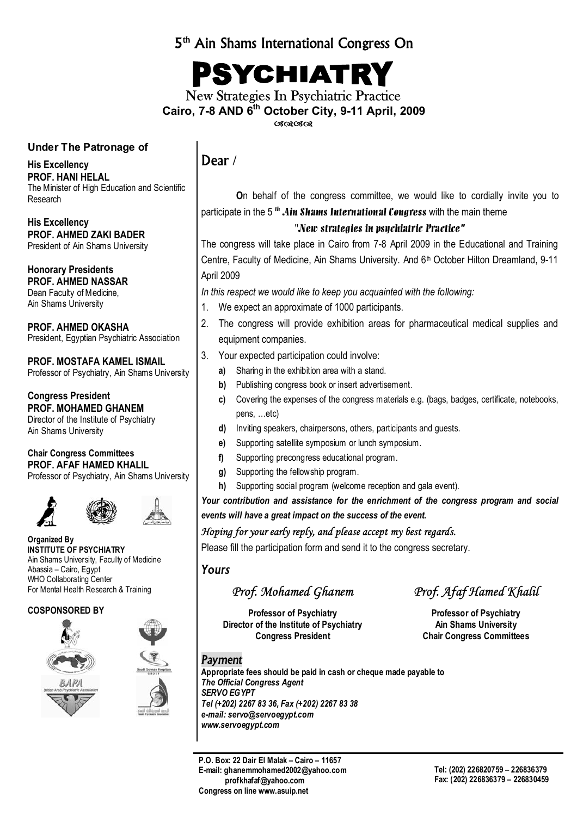### 5th Ain Shams International Congress On

PSYCHIATRY

New Strategies In Psychiatric Practice **Cairo, 7-8 AND 6th October City, 9-11 April, 2009**  $\alpha$ 

#### **Under The Patronage of**

**His Excellency PROF. HANI HELAL**  The Minister of High Education and Scientific Research

**His Excellency PROF. AHMED ZAKI BADER**  President of Ain Shams University

**Honorary Presidents PROF. AHMED NASSAR**  Dean Faculty of Medicine, Ain Shams University

**PROF. AHMED OKASHA**  President, Egyptian Psychiatric Association

**PROF. MOSTAFA KAMEL ISMAIL**  Professor of Psychiatry, Ain Shams University

**Congress President PROF. MOHAMED GHANEM**  Director of the Institute of Psychiatry Ain Shams University

**Chair Congress Committees PROF. AFAF HAMED KHALIL**  Professor of Psychiatry, Ain Shams University



**Organized By INSTITUTE OF PSYCHIATRY**  Ain Shams University, Faculty of Medicine Abassia – Cairo, Egypt WHO Collaborating Center For Mental Health Research & Training

#### **COSPONSORED BY**





### Dear **/**

**O**n behalf of the congress committee, we would like to cordially invite you to participate in the 5<sup>th</sup> Ain Shams International Congress with the main theme

#### "New strategies in psychiatric Practice*"*

The congress will take place in Cairo from 7-8 April 2009 in the Educational and Training Centre, Faculty of Medicine, Ain Shams University. And 6<sup>th</sup> October Hilton Dreamland, 9-11 April 2009

*In this respect we would like to keep you acquainted with the following:* 

- 1. We expect an approximate of 1000 participants.
- 2. The congress will provide exhibition areas for pharmaceutical medical supplies and equipment companies.
- 3. Your expected participation could involve:
	- **a)** Sharing in the exhibition area with a stand.
	- **b)** Publishing congress book or insert advertisement.
	- **c)** Covering the expenses of the congress materials e.g. (bags, badges, certificate, notebooks, pens, …etc)
	- **d)** Inviting speakers, chairpersons, others, participants and guests.
	- **e)** Supporting satellite symposium or lunch symposium.
	- **f)** Supporting precongress educational program.
	- **g)** Supporting the fellowship program.
	- **h)** Supporting social program (welcome reception and gala event).

*Your contribution and assistance for the enrichment of the congress program and social events will have a great impact on the success of the event.* 

#### *Hoping for your early reply, and please accept my best regards.*

Please fill the participation form and send it to the congress secretary.

#### *Yours*

**Professor of Psychiatry Construction Professor of Psychiatry Director of the Institute of Psychiatry Manuel Ain Shams University Congress President Congress Committees** 

*Prof. Mohamed Ghanem Prof. Afaf Hamed Khalil* 

#### *Payment*

**Appropriate fees should be paid in cash or cheque made payable to**  *The Official Congress Agent SERVO EGYPT Tel (+202) 2267 83 36, Fax (+202) 2267 83 38 e-mail: servo@servoegypt.com www.servoegypt.com* 

**P.O. Box: 22 Dair El Malak – Cairo – 11657 E-mail: ghanemmohamed2002@yahoo.com profkhafaf@yahoo.com Congress on line www.asuip.net**